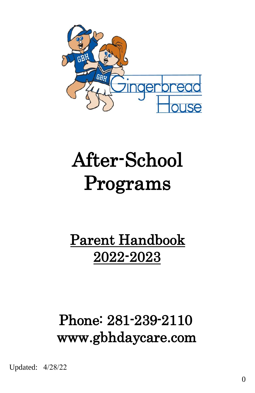

# After-School Programs

# Parent Handbook 2022-2023

# Phone: 281-239-2110 www.gbhdaycare.com

Updated: 4/28/22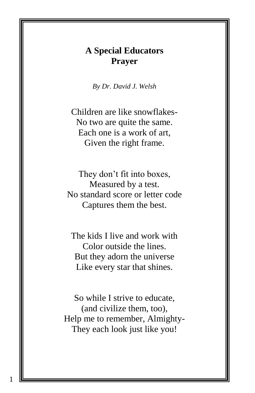# **A Special Educators Prayer**

*By Dr. David J. Welsh*

Children are like snowflakes-No two are quite the same. Each one is a work of art, Given the right frame.

They don't fit into boxes, Measured by a test. No standard score or letter code Captures them the best.

The kids I live and work with Color outside the lines. But they adorn the universe Like every star that shines.

So while I strive to educate, (and civilize them, too), Help me to remember, Almighty-They each look just like you!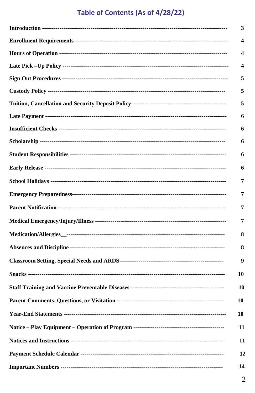#### Table of Contents (As of 4/28/22)

| 3  |
|----|
| 4  |
| 4  |
| 4  |
| 5  |
| 5  |
| 5  |
| 6  |
| 6  |
| 6  |
| 6  |
| 6  |
| 7  |
| 7  |
| 7  |
| 7  |
| 8  |
| 8  |
| 9  |
| 10 |
| 10 |
| 10 |
| 10 |
| 11 |
| 11 |
| 12 |
| 14 |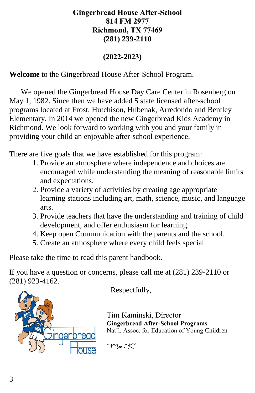#### **Gingerbread House After-School 814 FM 2977 Richmond, TX 77469 (281) 239-2110**

#### **(2022-2023)**

**Welcome** to the Gingerbread House After-School Program.

 We opened the Gingerbread House Day Care Center in Rosenberg on May 1, 1982. Since then we have added 5 state licensed after-school programs located at Frost, Hutchison, Hubenak, Arredondo and Bentley Elementary. In 2014 we opened the new Gingerbread Kids Academy in Richmond. We look forward to working with you and your family in providing your child an enjoyable after-school experience.

There are five goals that we have established for this program:

- 1. Provide an atmosphere where independence and choices are encouraged while understanding the meaning of reasonable limits and expectations.
- 2. Provide a variety of activities by creating age appropriate learning stations including art, math, science, music, and language arts.
- 3. Provide teachers that have the understanding and training of child development, and offer enthusiasm for learning.
- 4. Keep open Communication with the parents and the school.
- 5. Create an atmosphere where every child feels special.

Please take the time to read this parent handbook.

If you have a question or concerns, please call me at (281) 239-2110 or (281) 923-4162.



Respectfully,

Tim Kaminski, Director **Gingerbread After-School Programs** Nat'l. Assoc. for Education of Young Children

 $m_s$ : $K^*$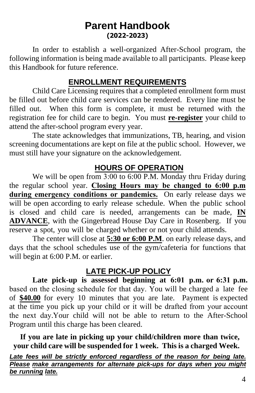# **Parent Handbook (2022-2023)**

In order to establish a well-organized After-School program, the following information is being made available to all participants. Please keep this Handbook for future reference.

### **ENROLLMENT REQUIREMENTS**

Child Care Licensing requires that a completed enrollment form must be filled out before child care services can be rendered. Every line must be filled out. When this form is complete, it must be returned with the registration fee for child care to begin. You must **re-register** your child to attend the after-school program every year.

The state acknowledges that immunizations, TB, hearing, and vision screening documentations are kept on file at the public school. However, we must still have your signature on the acknowledgement.

#### **HOURS OF OPERATION**

We will be open from 3:00 to 6:00 P.M. Monday thru Friday during the regular school year. **Closing Hours may be changed to 6:00 p.m during emergency conditions or pandemics.** On early release days we will be open according to early release schedule. When the public school is closed and child care is needed, arrangements can be made, **IN ADVANCE**, with the Gingerbread House Day Care in Rosenberg. If you reserve a spot, you will be charged whether or not your child attends.

The center will close at **5:30 or 6:00 P.M**. on early release days, and days that the school schedules use of the gym/cafeteria for functions that will begin at 6:00 P.M. or earlier.

# **LATE PICK-UP POLICY**

**Late pick-up is assessed beginning at 6:01 p.m. or 6:31 p.m.** based on the closing schedule for that day. You will be charged a late fee of **\$40.00** for every 10 minutes that you are late. Payment is expected at the time you pick up your child or it will be drafted from your account the next day.Your child will not be able to return to the After-School Program until this charge has been cleared.

**If you are late in picking up your child/children more than twice, your child care will be suspended for 1 week. This is a charged Week.**

Late fees will be strictly enforced regardless of the reason for being late. *Please make arrangements for alternate pick-ups for days when you might be running late.*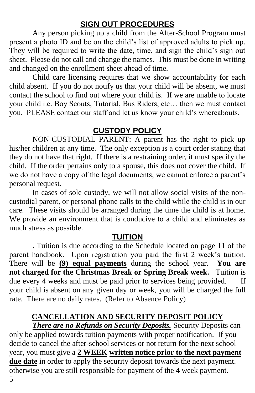#### **SIGN OUT PROCEDURES**

Any person picking up a child from the After-School Program must present a photo ID and be on the child's list of approved adults to pick up. They will be required to write the date, time, and sign the child's sign out sheet. Please do not call and change the names. This must be done in writing and changed on the enrollment sheet ahead of time.

Child care licensing requires that we show accountability for each child absent. If you do not notify us that your child will be absent, we must contact the school to find out where your child is. If we are unable to locate your child i.e. Boy Scouts, Tutorial, Bus Riders, etc… then we must contact you. PLEASE contact our staff and let us know your child's whereabouts.

# **CUSTODY POLICY**

NON-CUSTODIAL PARENT: A parent has the right to pick up his/her children at any time. The only exception is a court order stating that they do not have that right. If there is a restraining order, it must specify the child. If the order pertains only to a spouse, this does not cover the child. If we do not have a copy of the legal documents, we cannot enforce a parent's personal request.

In cases of sole custody, we will not allow social visits of the noncustodial parent, or personal phone calls to the child while the child is in our care. These visits should be arranged during the time the child is at home. We provide an environment that is conducive to a child and eliminates as much stress as possible.

#### **TUITION**

. Tuition is due according to the Schedule located on page 11 of the parent handbook. Upon registration you paid the first 2 week's tuition. There will be **(9) equal payments** during the school year. **You are not charged for the Christmas Break or Spring Break week.** Tuition is due every 4 weeks and must be paid prior to services being provided. If your child is absent on any given day or week, you will be charged the full rate. There are no daily rates. (Refer to Absence Policy)

# **CANCELLATION AND SECURITY DEPOSIT POLICY**

*There are no Refunds on Security Deposits.* Security Deposits can only be applied towards tuition payments with proper notification. If you decide to cancel the after-school services or not return for the next school year, you must give a **2 WEEK written notice prior to the next payment** due date in order to apply the security deposit towards the next payment. otherwise you are still responsible for payment of the 4 week payment.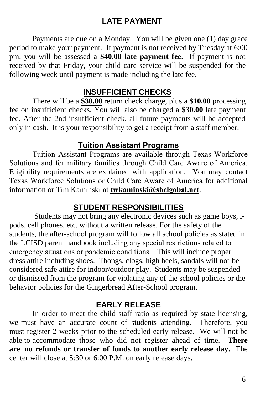#### **LATE PAYMENT**

Payments are due on a Monday. You will be given one (1) day grace period to make your payment. If payment is not received by Tuesday at 6:00 pm, you will be assessed a **\$40.00 late payment fee**. If payment is not received by that Friday, your child care service will be suspended for the following week until payment is made including the late fee.

#### **INSUFFICIENT CHECKS**

There will be a **\$30.00** return check charge, plus a **\$10.00** processing fee on insufficient checks. You will also be charged a **\$30.00** late payment fee. After the 2nd insufficient check, all future payments will be accepted only in cash. It is your responsibility to get a receipt from a staff member.

#### **Tuition Assistant Programs**

Tuition Assistant Programs are available through Texas Workforce Solutions and for military families through Child Care Aware of America. Eligibility requirements are explained with application. You may contact Texas Workforce Solutions or Child Care Aware of America for additional information or Tim Kaminski at **twkaminski@sbclgobal.net**.

#### **STUDENT RESPONSIBILITIES**

Students may not bring any electronic devices such as game boys, ipods, cell phones, etc. without a written release. For the safety of the students, the after-school program will follow all school policies as stated in the LCISD parent handbook including any special restrictions related to emergency situations or pandemic conditions. This will include proper dress attire including shoes. Thongs, clogs, high heels, sandals will not be considered safe attire for indoor/outdoor play. Students may be suspended or dismissed from the program for violating any of the school policies or the behavior policies for the Gingerbread After-School program.

#### **EARLY RELEASE**

In order to meet the child staff ratio as required by state licensing, we must have an accurate count of students attending. Therefore, you must register 2 weeks prior to the scheduled early release. We will not be able to accommodate those who did not register ahead of time. **There are no refunds or transfer of funds to another early release day.** The center will close at 5:30 or 6:00 P.M. on early release days.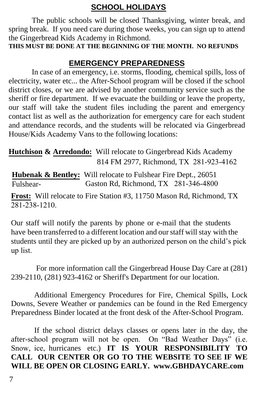# **SCHOOL HOLIDAYS**

The public schools will be closed Thanksgiving, winter break, and spring break. If you need care during those weeks, you can sign up to attend the Gingerbread Kids Academy in Richmond.

**THIS MUST BE DONE AT THE BEGINNING OF THE MONTH. NO REFUNDS** 

# **EMERGENCY PREPAREDNESS**

In case of an emergency, i.e. storms, flooding, chemical spills, loss of electricity, water etc... the After-School program will be closed if the school district closes, or we are advised by another community service such as the sheriff or fire department. If we evacuate the building or leave the property, our staff will take the student files including the parent and emergency contact list as well as the authorization for emergency care for each student and attendance records, and the students will be relocated via Gingerbread House/Kids Academy Vans to the following locations:

**Hutchison & Arredondo:** Will relocate to Gingerbread Kids Academy 814 FM 2977, Richmond, TX 281-923-4162

**Hubenak & Bentley:** Will relocate to Fulshear Fire Dept., 26051 Fulshear- Gaston Rd, Richmond, TX 281-346-4800

**Frost:** Will relocate to Fire Station #3, 11750 Mason Rd, Richmond, TX  $281 - 238 - 1210$ .

Our staff will notify the parents by phone or e-mail that the students have been transferred to a different location and our staff will stay with the students until they are picked up by an authorized person on the child's pick up list.

 For more information call the Gingerbread House Day Care at (281) 239-2110, (281) 923-4162 or Sheriff's Department for our location.

Additional Emergency Procedures for Fire, Chemical Spills, Lock Downs, Severe Weather or pandemics can be found in the Red Emergency Preparedness Binder located at the front desk of the After-School Program.

If the school district delays classes or opens later in the day, the after-school program will not be open. On "Bad Weather Days" (i.e. Snow, ice, hurricanes etc.) **IT IS YOUR RESPONSIBILITY TO CALL OUR CENTER OR GO TO THE WEBSITE TO SEE IF WE WILL BE OPEN OR CLOSING EARLY. www.GBHDAYCARE.com**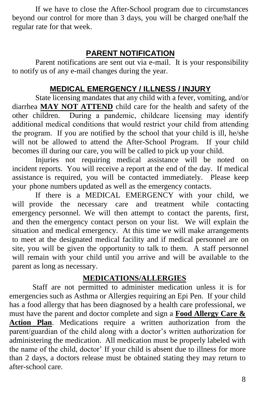If we have to close the After-School program due to circumstances beyond our control for more than 3 days, you will be charged one/half the regular rate for that week.

# **PARENT NOTIFICATION**

Parent notifications are sent out via e-mail. It is your responsibility to notify us of any e-mail changes during the year.

#### **MEDICAL EMERGENCY / ILLNESS / INJURY**

State licensing mandates that any child with a fever, vomiting, and/or diarrhea **MAY NOT ATTEND** child care for the health and safety of the other children. During a pandemic, childcare licensing may identify additional medical conditions that would restrict your child from attending the program. If you are notified by the school that your child is ill, he/she will not be allowed to attend the After-School Program. If your child becomes ill during our care, you will be called to pick up your child.

Injuries not requiring medical assistance will be noted on incident reports. You will receive a report at the end of the day. If medical assistance is required, you will be contacted immediately. Please keep your phone numbers updated as well as the emergency contacts.

If there is a MEDICAL EMERGENCY with your child, we will provide the necessary care and treatment while contacting emergency personnel. We will then attempt to contact the parents, first, and then the emergency contact person on your list. We will explain the situation and medical emergency. At this time we will make arrangements to meet at the designated medical facility and if medical personnel are on site, you will be given the opportunity to talk to them. A staff personnel will remain with your child until you arrive and will be available to the parent as long as necessary.

#### **MEDICATIONS/ALLERGIES**

Staff are not permitted to administer medication unless it is for emergencies such as Asthma or Allergies requiring an Epi Pen. If your child has a food allergy that has been diagnosed by a health care professional, we must have the parent and doctor complete and sign a **Food Allergy Care & Action Plan**. Medications require a written authorization from the parent/guardian of the child along with a doctor's written authorization for administering the medication. All medication must be properly labeled with the name of the child, doctor' If your child is absent due to illness for more than 2 days, a doctors release must be obtained stating they may return to after-school care.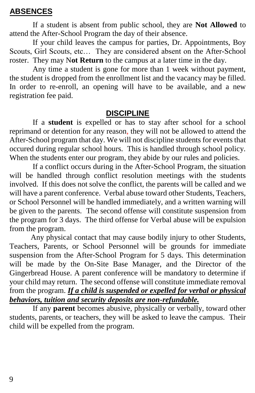#### **ABSENCES**

If a student is absent from public school, they are **Not Allowed** to attend the After-School Program the day of their absence.

If your child leaves the campus for parties, Dr. Appointments, Boy Scouts, Girl Scouts, etc... They are considered absent on the After-School roster. They may N**ot Return** to the campus at a later time in the day.

Any time a student is gone for more than 1 week without payment, the student is dropped from the enrollment list and the vacancy may be filled. In order to re-enroll, an opening will have to be available, and a new registration fee paid.

#### **DISCIPLINE**

If a **student** is expelled or has to stay after school for a school reprimand or detention for any reason, they will not be allowed to attend the After-School program that day. We will not discipline students for events that occured during regular school hours. This is handled through school policy. When the students enter our program, they abide by our rules and policies.

If a conflict occurs during in the After-School Program, the situation will be handled through conflict resolution meetings with the students involved. If this does not solve the conflict, the parents will be called and we will have a parent conference. Verbal abuse toward other Students, Teachers, or School Personnel will be handled immediately, and a written warning will be given to the parents. The second offense will constitute suspension from the program for 3 days. The third offense for Verbal abuse will be expulsion from the program.

Any physical contact that may cause bodily injury to other Students, Teachers, Parents, or School Personnel will be grounds for immediate suspension from the After-School Program for 5 days. This determination will be made by the On-Site Base Manager, and the Director of the Gingerbread House. A parent conference will be mandatory to determine if your child may return. The second offense will constitute immediate removal from the program. *If a child is suspended or expelled for verbal or physical behaviors, tuition and security deposits are non-refundable.*

If any **parent** becomes abusive, physically or verbally, toward other students, parents, or teachers, they will be asked to leave the campus. Their child will be expelled from the program.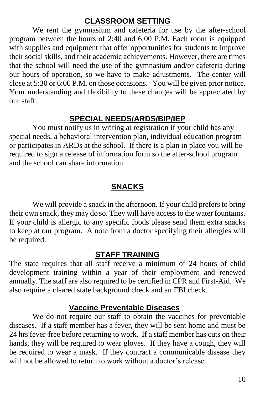#### **CLASSROOM SETTING**

We rent the gymnasium and cafeteria for use by the after-school program between the hours of 2:40 and 6:00 P.M. Each room is equipped with supplies and equipment that offer opportunities for students to improve their social skills, and their academic achievements. However, there are times that the school will need the use of the gymnasium and/or cafeteria during our hours of operation, so we have to make adjustments. The center will close at 5:30 or 6:00 P.M. on those occasions. You will be given prior notice. Your understanding and flexibility to these changes will be appreciated by our staff.

#### **SPECIAL NEEDS/ARDS/BIP/IEP**

You must notify us in writing at registration if your child has any special needs, a behavioral intervention plan, individual education program or participates in ARDs at the school. If there is a plan in place you will be required to sign a release of information form so the after-school program and the school can share information.

# **SNACKS**

We will provide a snack in the afternoon. If your child prefers to bring their own snack, they may do so. They will have access to the water fountains. If your child is allergic to any specific foods please send them extra snacks to keep at our program. A note from a doctor specifying their allergies will be required.

#### **STAFF TRAINING**

The state requires that all staff receive a minimum of 24 hours of child development training within a year of their employment and renewed annually. The staff are also required to be certified in CPR and First-Aid. We also require a cleared state background check and an FBI check.

#### **Vaccine Preventable Diseases**

We do not require our staff to obtain the vaccines for preventable diseases. If a staff member has a fever, they will be sent home and must be 24 hrs fever-free before returning to work. If a staff member has cuts on their hands, they will be required to wear gloves. If they have a cough, they will be required to wear a mask. If they contract a communicable disease they will not be allowed to return to work without a doctor's release.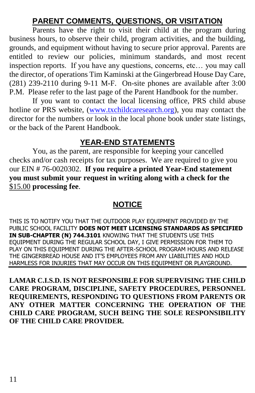# **PARENT COMMENTS, QUESTIONS, OR VISITATION**

Parents have the right to visit their child at the program during business hours, to observe their child, program activities, and the building, grounds, and equipment without having to secure prior approval. Parents are entitled to review our policies, minimum standards, and most recent inspection reports. If you have any questions, concerns, etc… you may call the director, of operations Tim Kaminski at the Gingerbread House Day Care, (281) 239-2110 during 9-11 M-F. On-site phones are available after 3:00 P.M. Please refer to the last page of the Parent Handbook for the number.

If you want to contact the local licensing office, PRS child abuse hotline or PRS website, [\(www.txchildcaresearch.org\)](http://www.txchildcaresearch.org/), you may contact the director for the numbers or look in the local phone book under state listings, or the back of the Parent Handbook.

# **YEAR-END STATEMENTS**

You, as the parent, are responsible for keeping your cancelled checks and/or cash receipts for tax purposes. We are required to give you our EIN # 76-0020302. **If you require a printed Year-End statement you must submit your request in writing along with a check for the**  \$15.00 **processing fee**.

# **NOTICE**

THIS IS TO NOTIFY YOU THAT THE OUTDOOR PLAY EQUIPMENT PROVIDED BY THE PUBLIC SCHOOL FACILITY **DOES NOT MEET LICENSING STANDARDS AS SPECIFIED IN SUB-CHAPTER (N) 744.3101** KNOWING THAT THE STUDENTS USE THIS EQUIPMENT DURING THE REGULAR SCHOOL DAY, I GIVE PERMISSION FOR THEM TO PLAY ON THIS EQUIPMENT DURING THE AFTER-SCHOOL PROGRAM HOURS AND RELEASE THE GINGERBREAD HOUSE AND IT'S EMPLOYEES FROM ANY LIABILITIES AND HOLD HARMLESS FOR INJURIES THAT MAY OCCUR ON THIS EQUIPMENT OR PLAYGROUND.

**LAMAR C.I.S.D. IS NOT RESPONSIBLE FOR SUPERVISING THE CHILD CARE PROGRAM, DISCIPLINE, SAFETY PROCEDURES, PERSONNEL REQUIREMENTS, RESPONDING TO QUESTIONS FROM PARENTS OR ANY OTHER MATTER CONCERNING THE OPERATION OF THE CHILD CARE PROGRAM, SUCH BEING THE SOLE RESPONSIBILITY OF THE CHILD CARE PROVIDER.**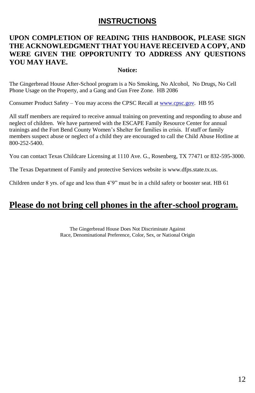#### **INSTRUCTIONS**

#### **UPON COMPLETION OF READING THIS HANDBOOK, PLEASE SIGN THE ACKNOWLEDGMENT THAT YOU HAVE RECEIVED A COPY, AND WERE GIVEN THE OPPORTUNITY TO ADDRESS ANY QUESTIONS YOU MAY HAVE.**

#### **Notice:**

The Gingerbread House After-School program is a No Smoking, No Alcohol, No Drugs, No Cell Phone Usage on the Property, and a Gang and Gun Free Zone. HB 2086

Consumer Product Safety – You may access the CPSC Recall at [www.cpsc.gov.](http://www.cpsc.gov/) HB 95

All staff members are required to receive annual training on preventing and responding to abuse and neglect of children. We have partnered with the ESCAPE Family Resource Center for annual trainings and the Fort Bend County Women's Shelter for families in crisis. If staff or family members suspect abuse or neglect of a child they are encouraged to call the Child Abuse Hotline at 800-252-5400.

You can contact Texas Childcare Licensing at 1110 Ave. G., Rosenberg, TX 77471 or 832-595-3000.

The Texas Department of Family and protective Services website is www.dfps.state.tx.us.

Children under 8 yrs. of age and less than 4'9" must be in a child safety or booster seat. HB 61

# **Please do not bring cell phones in the after-school program.**

The Gingerbread House Does Not Discriminate Against Race, Denominational Preference, Color, Sex, or National Origin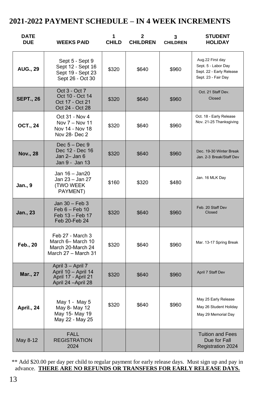#### **2021-2022 PAYMENT SCHEDULE – IN 4 WEEK INCREMENTS**

| <b>DATE</b><br><b>DUE</b> | <b>WEEKS PAID</b>                                                                      | 1<br><b>CHILD</b> | 2<br><b>CHILDREN</b> | 3<br><b>CHILDREN</b> | <b>STUDENT</b><br><b>HOLIDAY</b>                                                           |
|---------------------------|----------------------------------------------------------------------------------------|-------------------|----------------------|----------------------|--------------------------------------------------------------------------------------------|
| <b>AUG., 29</b>           | Sept 5 - Sept 9<br>Sept 12 - Sept 16<br>Sept 19 - Sept 23<br>Sept 26 - Oct 30          | \$320             | \$640                | \$960                | Aug.22 First day<br>Sept. 5 - Labor Day<br>Sept. 22 - Early Release<br>Sept. 23 - Fair Day |
| <b>SEPT., 26</b>          | Oct 3 - Oct 7<br>Oct 10 - Oct 14<br>Oct 17 - Oct 21<br>Oct 24 - Oct 28                 | \$320             | \$640                | \$960                | Oct. 21 Staff Dev.<br>Closed                                                               |
| OCT., 24                  | Oct 31 - Nov 4<br>Nov 7 - Nov 11<br>Nov 14 - Nov 18<br>Nov 28- Dec 2                   | \$320             | \$640                | \$960                | Oct. 18 - Early Release<br>Nov. 21-25 Thanksgiving                                         |
| Nov., 28                  | $Dec 5 - Dec 9$<br>Dec 12 - Dec 16<br>Jan 2- Jan 6<br>Jan 9 - Jan 13                   | \$320             | \$640                | \$960                | Dec. 19-30 Winter Break<br>Jan. 2-3 Break/Staff Dev                                        |
| Jan., 9                   | Jan 16 - Jan20<br>Jan 23 – Jan 27<br><b>(TWO WEEK</b><br>PAYMENT)                      | \$160             | \$320                | \$480                | Jan. 16 MLK Day                                                                            |
| Jan., 23                  | Jan 30 - Feb 3<br>$Feb 6 - Feb 10$<br>Feb 13 - Feb 17<br>Feb 20-Feb 24                 | \$320             | \$640                | \$960                | Feb. 20 Staff Dev<br>Closed                                                                |
| Feb., 20                  | Feb 27 - March 3<br>March 6- March 10<br>March 20-March 24<br>March 27 - March 31      | \$320             | \$640                | \$960                | Mar. 13-17 Spring Break                                                                    |
| Mar., 27                  | April 3 - April 7<br>April 10 - April 14<br>April 17 - April 21<br>April 24 - April 28 | \$320             | \$640                | \$960                | April 7 Staff Dev                                                                          |
| April., 24                | May 1 - May 5<br>May 8- May 12<br>May 15- May 19<br>May 22 - May 25                    | \$320             | \$640                | \$960                | May 25 Early Release<br>May 26 Student Holiday<br>May 29 Memorial Day                      |
| May 8-12                  | <b>FALL</b><br><b>REGISTRATION</b><br>2024                                             |                   |                      |                      | <b>Tuition and Fees</b><br>Due for Fall<br>Registration 2024                               |

\*\* Add \$20.00 per day per child to regular payment for early release days. Must sign up and pay in advance. **THERE ARE NO REFUNDS OR TRANSFERS FOR EARLY RELEASE DAYS.**